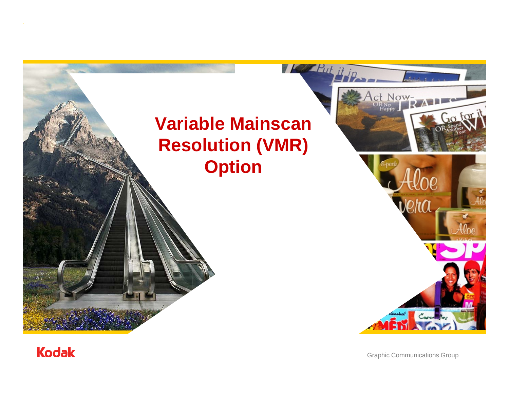# **Variable Mainscan Resolution (VMR) Option**

**TAN Put** 



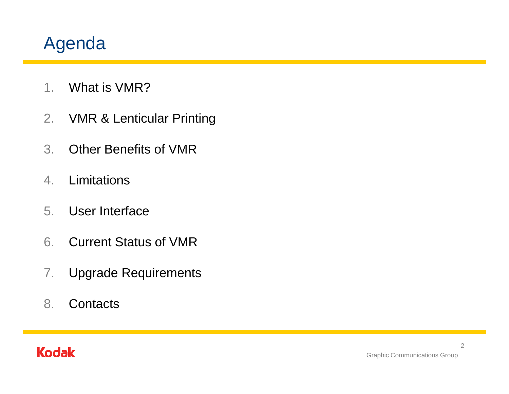## Agenda

- 1.What is VMR?
- 2.VMR & Lenticular Printing
- 3. Other Benefits of VMR
- 4.**Limitations**
- 5. User Interface
- 6. Current Status of VMR
- 7.Upgrade Requirements
- 8. Contacts

## **Kodak**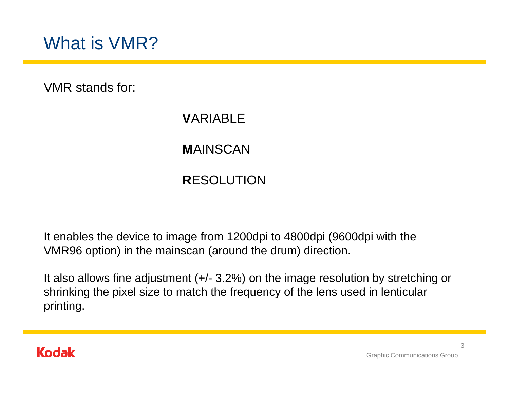VMR stands for:

#### **V**ARIABLE

## **M**AINSCAN

## **R**ESOLUTION

It enables the device to image from 1200dpi to 4800dpi (9600dpi with the VMR96 option) in the mainscan (around the drum) direction.

It also allows fine adjustment (+/- 3.2%) on the image resolution by stretching or shrinking the pixel size to match the frequency of the lens used in lenticular printing.

#### **Kodak**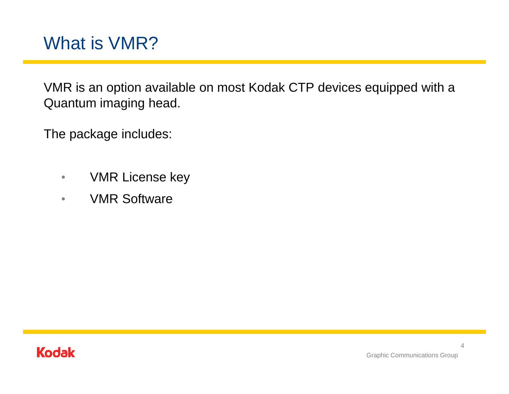## What is VMR?

VMR is an option available on most Kodak CTP devices equipped with a Quantum imaging head.

The package includes:

- $\bullet$ VMR License key
- $\bullet$ VMR Software

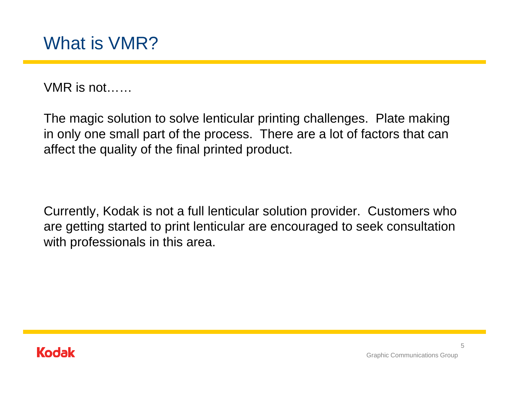VMR is not……

The magic solution to solve lenticular printing challenges. Plate making in only one small part of the process. There are a lot of factors that can affect the quality of the final printed product.

Currently, Kodak is not a full lenticular solution provider. Customers who are getting started to print lenticular are encouraged to seek consultation with professionals in this area.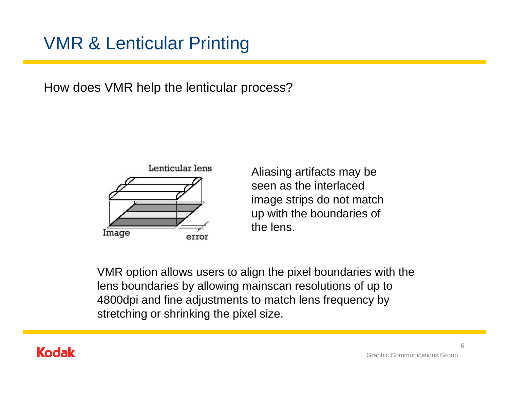## VMR & Lenticular Printing

How does VMR help the lenticular process?



Aliasing artifacts may be seen as the interlaced image strips do not match up with the boundaries of the lens.

VMR option allows users to align the pixel boundaries with the lens boundaries by allowing mainscan resolutions of up to 4800dpi and fine adjustments to match lens frequency by stretching or shrinking the pixel size.

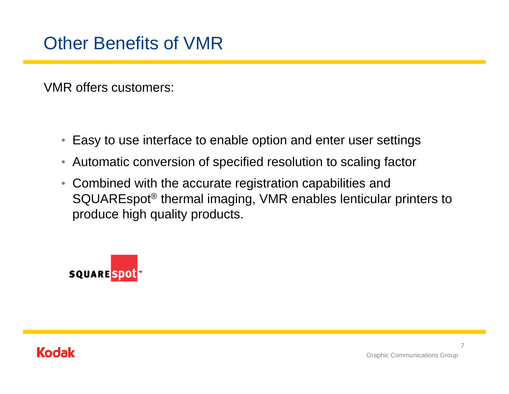VMR offers customers:

- $\bullet$ Easy to use interface to enable option and enter user settings
- $\bullet$ Automatic conversion of specified resolution to scaling factor
- Combined with the accurate registration capabilities and SQUAREspot ® thermal imaging, VMR enables lenticular printers to produce high quality products.



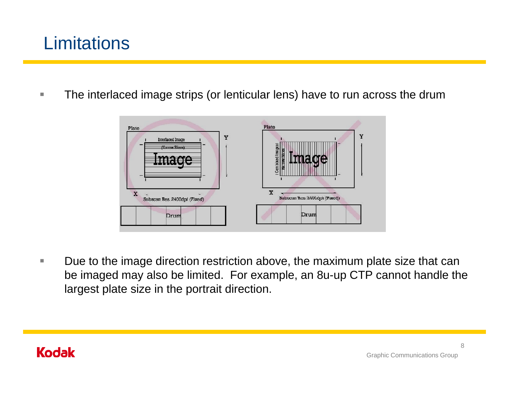## **Limitations**

×. The interlaced image strips (or lenticular lens) have to run across the drum



П Due to the image direction restriction above, the maximum plate size that can be imaged may also be limited. For example, an 8u-up CTP cannot handle the largest plate size in the portrait direction.

## **Kodak**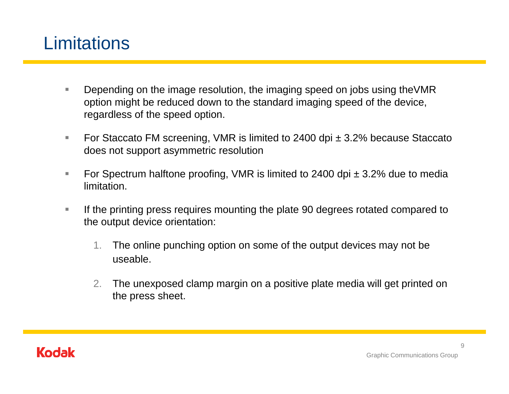## **Limitations**

- T. Depending on the image resolution, the imaging speed on jobs using theVMR option might be reduced down to the standard imaging speed of the device, regardless of the speed option.
- $\Box$  For Staccato FM screening, VMR is limited to 2400 dpi ± 3.2% because Staccato does not support asymmetric resolution
- T. For Spectrum halftone proofing, VMR is limited to 2400 dpi  $\pm$  3.2% due to media limitation.
- $\overline{\phantom{a}}$  If the printing press requires mounting the plate 90 degrees rotated compared to the output device orientation:
	- 1. The online punching option on some of the output devices may not be useable.
	- 2. The unexposed clamp margin on a positive plate media will get printed on the press sheet.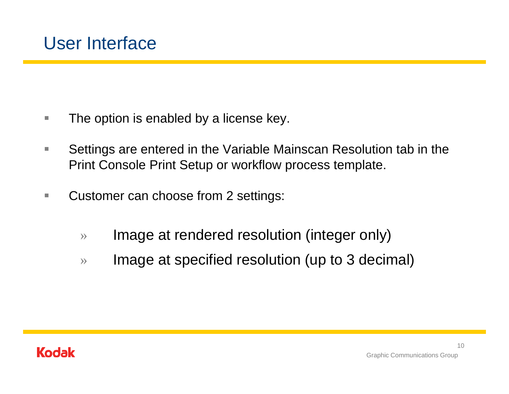- n. The option is enabled by a license key.
- $\mathcal{C}$  Settings are entered in the Variable Mainscan Resolution tab in the Print Console Print Setup or workflow process template.
- n. Customer can choose from 2 settings:
	- »Image at rendered resolution (integer only)
	- $\rightarrow$ Image at specified resolution (up to 3 decimal)

## **Kodak**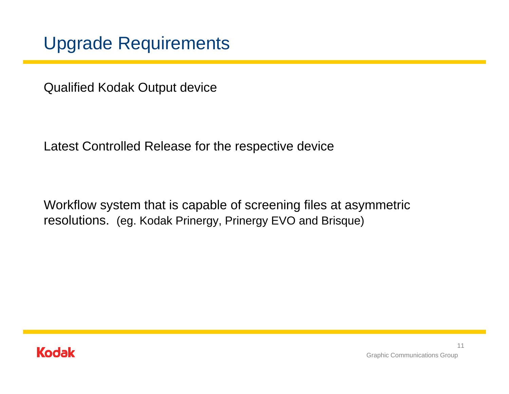## Upgrade Requirements

Qualified Kodak Output device

Latest Controlled Release for the respective device

Workflow system that is capable of screening files at asymmetric resolutions. (eg. Kodak Prinergy, Prinergy EVO and Brisque)